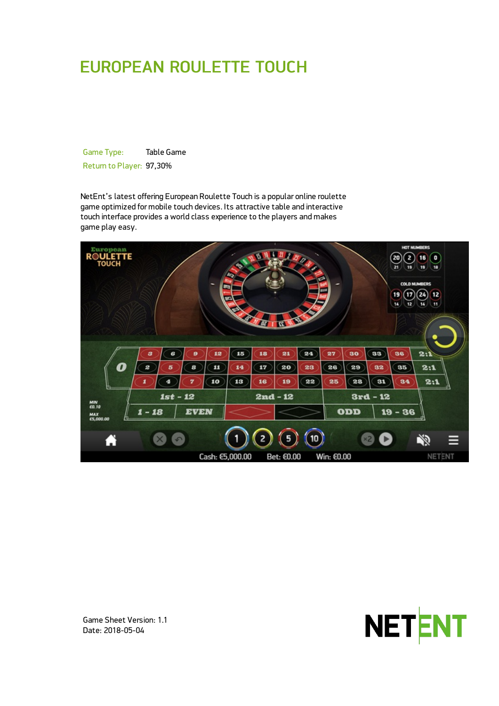# EUROPEAN ROULETTE TOUCH

Game Type: Table Game Return to Player: 97,30%

NetEnt's latest offering European Roulette Touch is a popular online roulette game optimized for mobile touch devices. Its attractive table and interactive touch interface provides a world class experience to the players and makes game play easy.





Game Sheet Version: 1.1 Date: 2018-05-04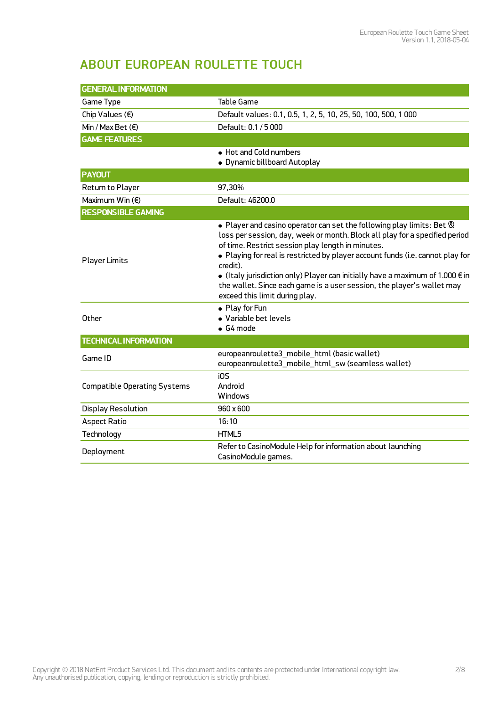## ABOUT EUROPEAN ROULETTE TOUCH

| <b>GENERAL INFORMATION</b>          |                                                                                                                                                                                                                                                                                                                                                                                                                                                                                                                               |  |  |
|-------------------------------------|-------------------------------------------------------------------------------------------------------------------------------------------------------------------------------------------------------------------------------------------------------------------------------------------------------------------------------------------------------------------------------------------------------------------------------------------------------------------------------------------------------------------------------|--|--|
| Game Type                           | <b>Table Game</b>                                                                                                                                                                                                                                                                                                                                                                                                                                                                                                             |  |  |
| Chip Values $(\epsilon)$            | Default values: 0.1, 0.5, 1, 2, 5, 10, 25, 50, 100, 500, 1000                                                                                                                                                                                                                                                                                                                                                                                                                                                                 |  |  |
| Min / Max Bet $(\epsilon)$          | Default: 0.1 / 5 000                                                                                                                                                                                                                                                                                                                                                                                                                                                                                                          |  |  |
| <b>GAME FEATURES</b>                |                                                                                                                                                                                                                                                                                                                                                                                                                                                                                                                               |  |  |
|                                     | • Hot and Cold numbers<br>• Dynamic billboard Autoplay                                                                                                                                                                                                                                                                                                                                                                                                                                                                        |  |  |
| <b>PAYOUT</b>                       |                                                                                                                                                                                                                                                                                                                                                                                                                                                                                                                               |  |  |
| Return to Player                    | 97,30%                                                                                                                                                                                                                                                                                                                                                                                                                                                                                                                        |  |  |
| Maximum Win $(E)$                   | Default: 46200.0                                                                                                                                                                                                                                                                                                                                                                                                                                                                                                              |  |  |
| <b>RESPONSIBLE GAMING</b>           |                                                                                                                                                                                                                                                                                                                                                                                                                                                                                                                               |  |  |
| <b>Player Limits</b>                | $\bullet$ Player and casino operator can set the following play limits: Bet $\otimes$<br>loss per session, day, week or month. Block all play for a specified period<br>of time. Restrict session play length in minutes.<br>. Playing for real is restricted by player account funds (i.e. cannot play for<br>credit).<br>• (Italy jurisdiction only) Player can initially have a maximum of 1.000 $\epsilon$ in<br>the wallet. Since each game is a user session, the player's wallet may<br>exceed this limit during play. |  |  |
| Other                               | • Play for Fun<br>• Variable bet levels<br>$\bullet$ G4 mode                                                                                                                                                                                                                                                                                                                                                                                                                                                                  |  |  |
| <b>TECHNICAL INFORMATION</b>        |                                                                                                                                                                                                                                                                                                                                                                                                                                                                                                                               |  |  |
| Game ID                             | europeanroulette3_mobile_html (basic wallet)<br>europeanroulette3_mobile_html_sw (seamless wallet)                                                                                                                                                                                                                                                                                                                                                                                                                            |  |  |
| <b>Compatible Operating Systems</b> | i0S<br>Android<br>Windows                                                                                                                                                                                                                                                                                                                                                                                                                                                                                                     |  |  |
| <b>Display Resolution</b>           | 960 x 600                                                                                                                                                                                                                                                                                                                                                                                                                                                                                                                     |  |  |
| <b>Aspect Ratio</b>                 | 16:10                                                                                                                                                                                                                                                                                                                                                                                                                                                                                                                         |  |  |
| Technology                          | HTML5                                                                                                                                                                                                                                                                                                                                                                                                                                                                                                                         |  |  |
| Deployment                          | Refer to CasinoModule Help for information about launching<br>CasinoModule games.                                                                                                                                                                                                                                                                                                                                                                                                                                             |  |  |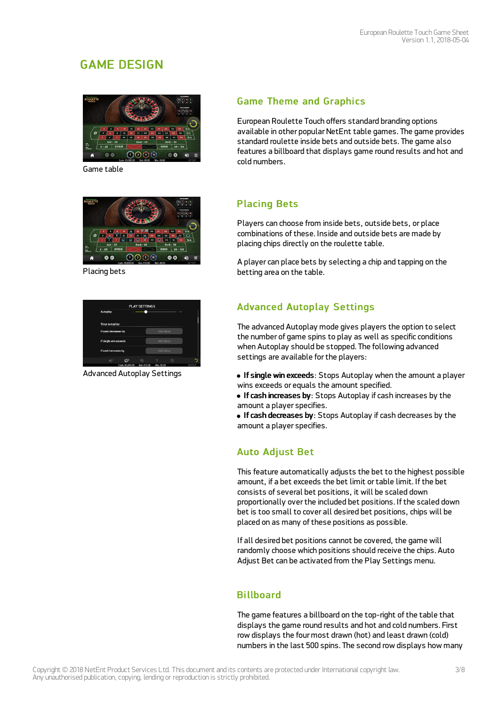## GAME DESIGN



Game table



Placing bets

| Autoplay              |                 | <b>PLAY SETTINGS</b> |                  | $-1000$ |       |
|-----------------------|-----------------|----------------------|------------------|---------|-------|
|                       |                 |                      |                  |         |       |
| Stop autoplay:        |                 |                      |                  |         |       |
| If cash decreases by  |                 |                      | <b>Add Value</b> |         |       |
| If single win exceeds |                 |                      | Add Value        |         |       |
| If cash increases by  |                 |                      | Add Value        |         |       |
| цЮ                    | CD              | эĀ                   |                  | €G      |       |
|                       | Cash: 65,000.00 | Bet: £10.00          | Win: 60.00       |         | NETEN |

Advanced Autoplay Settings

### **Game Theme and Graphics**

European Roulette Touch offers standard branding options available in other popular NetEnt table games. The game provides standard roulette inside bets and outside bets. The game also features a billboard that displays game round results and hot and cold numbers.

### Placing Bets

Players can choose from inside bets, outside bets, or place combinations of these. Inside and outside bets are made by placing chips directly on the roulette table.

A player can place bets by selecting a chip and tapping on the betting area on the table.

### Advanced Autoplay Settings

The advanced Autoplay mode gives players the option to select the number of game spins to play as well as specific conditions when Autoplay should be stopped. The following advanced settings are available for the players:

- If single win exceeds: Stops Autoplay when the amount a player wins exceeds or equals the amount specified.
- If cash increases by: Stops Autoplay if cash increases by the amount a player specifies.
- If cash decreases by: Stops Autoplay if cash decreases by the amount a player specifies.

## Auto Adjust Bet

This feature automatically adjusts the bet to the highest possible amount, if a bet exceeds the bet limit ortable limit. If the bet consists of several bet positions, it will be scaled down proportionally overthe included bet positions. If the scaled down bet is too small to cover all desired bet positions, chips will be placed on as many of these positions as possible.

If all desired bet positions cannot be covered, the game will randomly choose which positions should receive the chips. Auto Adjust Bet can be activated from the Play Settings menu.

### **Billboard**

The game features a billboard on the top-right of the table that displays the game round results and hot and cold numbers. First row displays the four most drawn (hot) and least drawn (cold) numbers in the last 500 spins. The second row displays how many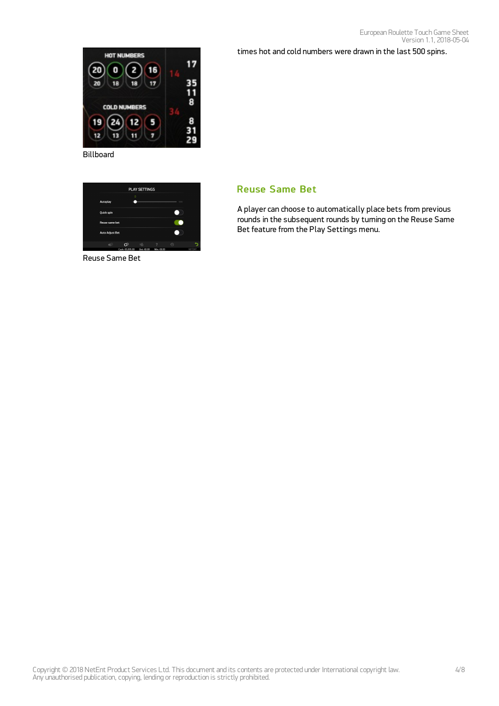times hot and cold numbers were drawn in the last 500 spins.



Billboard

| <b>PLAY SETTINGS</b>   |                 |            |            |             |        |
|------------------------|-----------------|------------|------------|-------------|--------|
| Autoplay               | $\bf{0}$        |            |            | 1000        |        |
| Quick spin             |                 |            |            |             |        |
| Reuse same bet         |                 |            |            |             |        |
| <b>Auto Adjust Bet</b> |                 |            |            |             |        |
| пß                     | ඟ               | πÄ         | 7          | $\bigoplus$ |        |
|                        | Casb: 65,005.00 | Ret: FD.00 | Win: 69.00 |             | NETENT |

Reuse Same Bet

#### Reuse Same Bet

A player can choose to automatically place bets from previous rounds in the subsequent rounds by turning on the Reuse Same Bet feature from the Play Settings menu.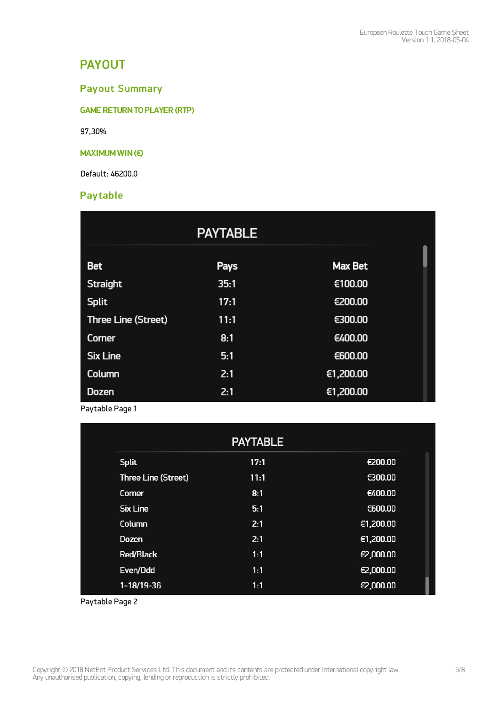## PAYOUT

### Payout Summary

GAME RETURNTO PLAYER (RTP)

97,30%

#### MAXIMUM WIN(€)

Default: 46200.0

#### **Pay table**

|                     | <b>PAYTABLE</b> |           |
|---------------------|-----------------|-----------|
|                     |                 |           |
| <b>Bet</b>          | Pays            | Max Bet   |
| <b>Straight</b>     | 35:1            | €100.00   |
| <b>Split</b>        | 17:1            | €200.00   |
| Three Line (Street) | 11:1            | €300.00   |
| Corner              | 8:1             | €400.00   |
| <b>Six Line</b>     | 5:1             | €600.00   |
| Column              | 2:1             | €1,200.00 |
| <b>Dozen</b>        | 2:1             | €1,200.00 |

Paytable Page 1

|                     | <b>PAYTABLE</b> |           |
|---------------------|-----------------|-----------|
| <b>Split</b>        | 17:1            | €200.00   |
| Three Line (Street) | 11:1            | €300.00   |
| Corner              | 8:1             | €400.00   |
| <b>Six Line</b>     | 5:1             | €600.00   |
| Column              | 2:1             | €1,200.00 |
| <b>Dozen</b>        | 2:1             | €1,200.00 |
| <b>Red/Black</b>    | 1:1             | €2,000.00 |
| Even/Odd            | 1:1             | €2,000.00 |
| $1-18/19-36$        | 1:1             | €2,000.00 |

Paytable Page 2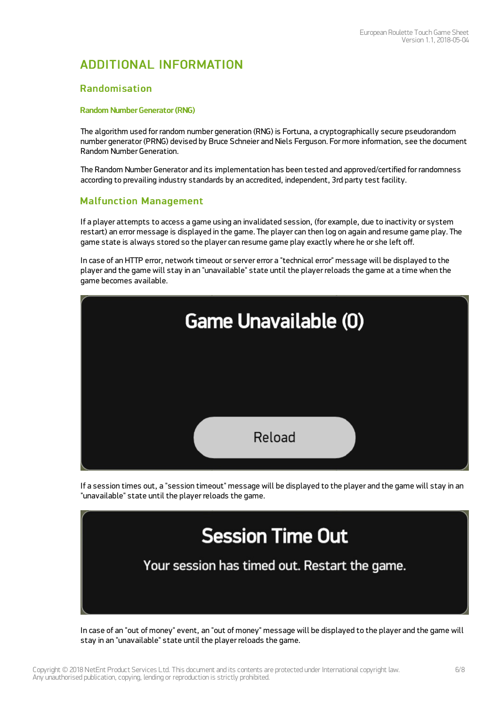## ADDITIONAL INFORMATION

#### Randomisation

#### Random Number Generator (RNG)

The algorithm used for random number generation (RNG) is Fortuna, a cryptographically secure pseudorandom number generator (PRNG) devised by Bruce Schneier and Niels Ferguson. For more information, see the document Random Number Generation.

The Random Number Generator and its implementation has been tested and approved/certified for randomness according to prevailing industry standards by an accredited, independent, 3rd party test facility.

#### Malfunction Management

If a player attempts to access a game using an invalidated session, (for example, due to inactivity or system restart) an error message is displayed in the game. The player can then log on again and resume game play. The game state is always stored so the player can resume game play exactly where he or she left off.

In case of an HTTP error, network timeout or server error a "technical error" message will be displayed to the player and the game will stay in an "unavailable" state until the player reloads the game at a time when the game becomes available.



If a session times out, a "session timeout" message will be displayed to the player and the game will stay in an "unavailable" state until the player reloads the game.



In case of an "out of money" event, an "out of money" message will be displayed to the player and the game will stay in an "unavailable" state until the player reloads the game.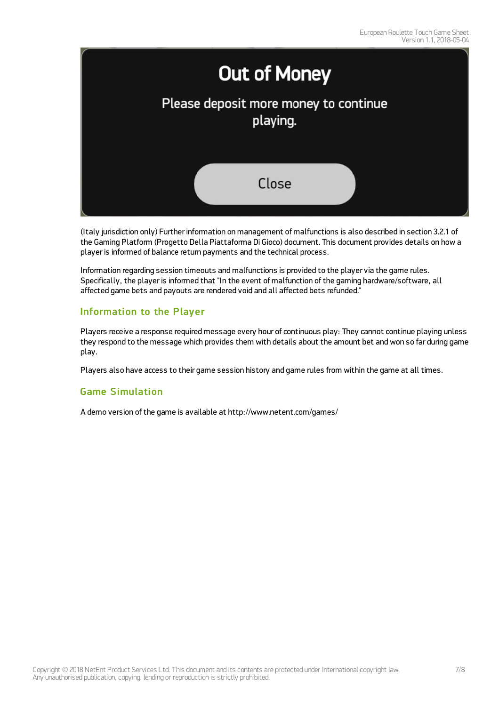

(Italy jurisdiction only) Further information on management of malfunctions is also described in section 3.2.1 of the Gaming Platform (Progetto Della Piattaforma Di Gioco) document. This document provides details on how a player is informed of balance return payments and the technical process.

Information regarding session timeouts and malfunctions is provided to the player via the game rules. Specifically, the player is informed that "In the event of malfunction of the gaming hardware/software, all affected game bets and payouts are rendered void and all affected bets refunded."

#### Information to the Player

Players receive a response required message every hour of continuous play: They cannot continue playing unless they respond to the message which provides them with details about the amount bet and won so far during game play.

Players also have access to their game session history and game rules from within the game at all times.

#### Game Simulation

A demo version of the game is available at <http://www.netent.com/games/>